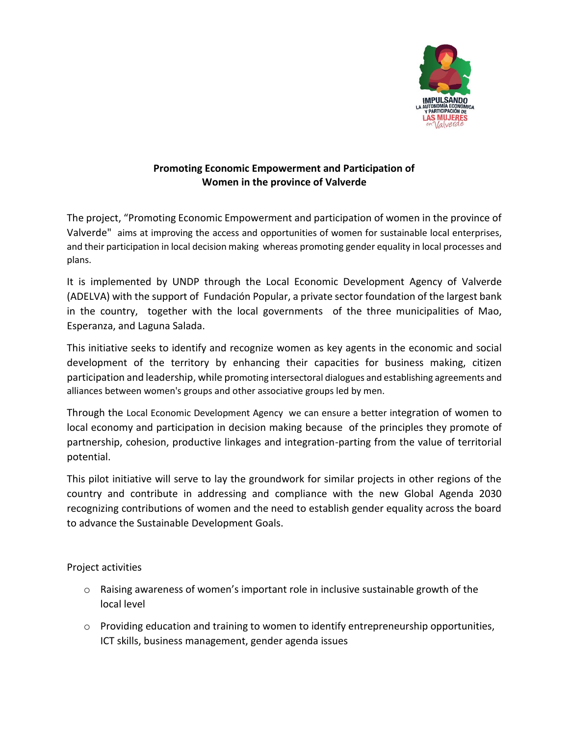

## **Promoting Economic Empowerment and Participation of Women in the province of Valverde**

The project, "Promoting Economic Empowerment and participation of women in the province of Valverde" aims at improving the access and opportunities of women for sustainable local enterprises, and their participation in local decision making whereas promoting gender equality in local processes and plans.

It is implemented by UNDP through the Local Economic Development Agency of Valverde (ADELVA) with the support of Fundación Popular, a private sector foundation of the largest bank in the country, together with the local governments of the three municipalities of Mao, Esperanza, and Laguna Salada.

This initiative seeks to identify and recognize women as key agents in the economic and social development of the territory by enhancing their capacities for business making, citizen participation and leadership, while promoting intersectoral dialogues and establishing agreements and alliances between women's groups and other associative groups led by men.

Through the Local Economic Development Agency we can ensure a better integration of women to local economy and participation in decision making because of the principles they promote of partnership, cohesion, productive linkages and integration-parting from the value of territorial potential.

This pilot initiative will serve to lay the groundwork for similar projects in other regions of the country and contribute in addressing and compliance with the new Global Agenda 2030 recognizing contributions of women and the need to establish gender equality across the board to advance the Sustainable Development Goals.

Project activities

- $\circ$  Raising awareness of women's important role in inclusive sustainable growth of the local level
- $\circ$  Providing education and training to women to identify entrepreneurship opportunities, ICT skills, business management, gender agenda issues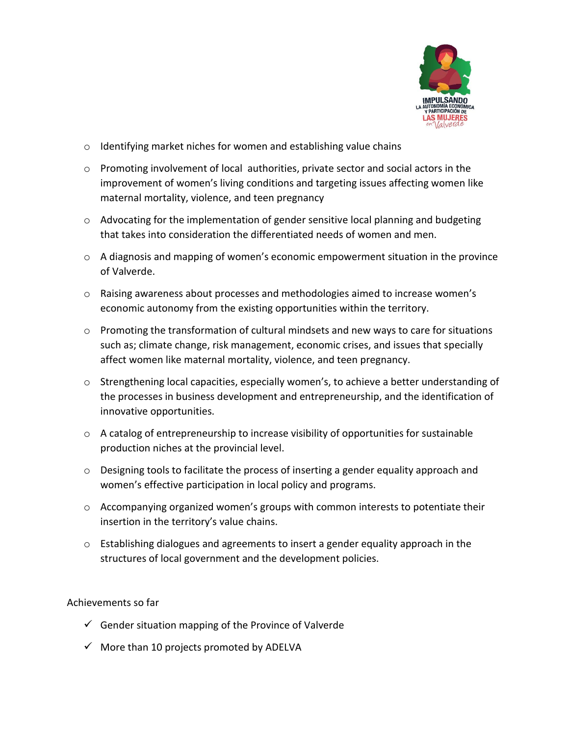

- o Identifying market niches for women and establishing value chains
- $\circ$  Promoting involvement of local authorities, private sector and social actors in the improvement of women's living conditions and targeting issues affecting women like maternal mortality, violence, and teen pregnancy
- $\circ$  Advocating for the implementation of gender sensitive local planning and budgeting that takes into consideration the differentiated needs of women and men.
- $\circ$  A diagnosis and mapping of women's economic empowerment situation in the province of Valverde.
- $\circ$  Raising awareness about processes and methodologies aimed to increase women's economic autonomy from the existing opportunities within the territory.
- $\circ$  Promoting the transformation of cultural mindsets and new ways to care for situations such as; climate change, risk management, economic crises, and issues that specially affect women like maternal mortality, violence, and teen pregnancy.
- $\circ$  Strengthening local capacities, especially women's, to achieve a better understanding of the processes in business development and entrepreneurship, and the identification of innovative opportunities.
- $\circ$  A catalog of entrepreneurship to increase visibility of opportunities for sustainable production niches at the provincial level.
- $\circ$  Designing tools to facilitate the process of inserting a gender equality approach and women's effective participation in local policy and programs.
- $\circ$  Accompanying organized women's groups with common interests to potentiate their insertion in the territory's value chains.
- o Establishing dialogues and agreements to insert a gender equality approach in the structures of local government and the development policies.

## Achievements so far

- $\checkmark$  Gender situation mapping of the Province of Valverde
- $\checkmark$  More than 10 projects promoted by ADELVA